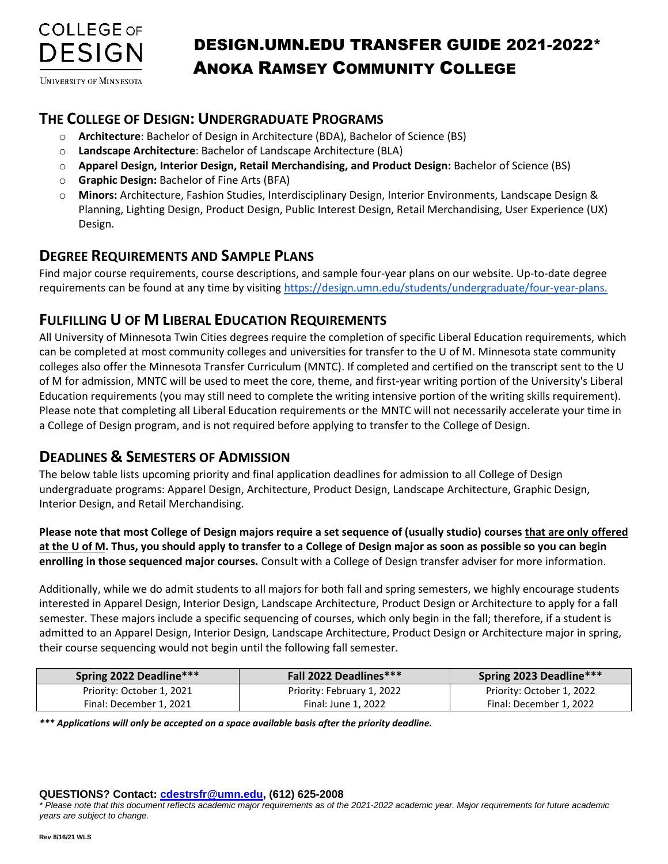

**UNIVERSITY OF MINNESOTA** 

## DESIGN.UMN.EDU **THE COLLEGE OF DESIGN: UNDERGRADUATE PROGRAMS**

- o **Architecture**: Bachelor of Design in Architecture (BDA), Bachelor of Science (BS)
- o **Landscape Architecture**: Bachelor of Landscape Architecture (BLA)
- o **Apparel Design, Interior Design, Retail Merchandising, and Product Design:** Bachelor of Science (BS)
- o **Graphic Design:** Bachelor of Fine Arts (BFA)
- o **Minors:** Architecture, Fashion Studies, Interdisciplinary Design, Interior Environments, Landscape Design & Planning, Lighting Design, Product Design, Public Interest Design, Retail Merchandising, User Experience (UX) Design.

### **DEGREE REQUIREMENTS AND SAMPLE PLANS**

Find major course requirements, course descriptions, and sample four-year plans on our website. Up-to-date degree requirements can be found at any time by visiting [https://design.umn.edu/students/undergraduate/four-year-plans.](https://design.umn.edu/students/undergraduate/four-year-plans)

### **FULFILLING U OF M LIBERAL EDUCATION REQUIREMENTS**

All University of Minnesota Twin Cities degrees require the completion of specific Liberal Education requirements, which can be completed at most community colleges and universities for transfer to the U of M. Minnesota state community colleges also offer the Minnesota Transfer Curriculum (MNTC). If completed and certified on the transcript sent to the U of M for admission, MNTC will be used to meet the core, theme, and first-year writing portion of the University's Liberal Education requirements (you may still need to complete the writing intensive portion of the writing skills requirement). Please note that completing all Liberal Education requirements or the MNTC will not necessarily accelerate your time in a College of Design program, and is not required before applying to transfer to the College of Design.

### **DEADLINES & SEMESTERS OF ADMISSION**

The below table lists upcoming priority and final application deadlines for admission to all College of Design undergraduate programs: Apparel Design, Architecture, Product Design, Landscape Architecture, Graphic Design, Interior Design, and Retail Merchandising.

**Please note that most College of Design majors require a set sequence of (usually studio) courses that are only offered at the U of M. Thus, you should apply to transfer to a College of Design major as soon as possible so you can begin enrolling in those sequenced major courses.** Consult with a College of Design transfer adviser for more information.

Additionally, while we do admit students to all majors for both fall and spring semesters, we highly encourage students interested in Apparel Design, Interior Design, Landscape Architecture, Product Design or Architecture to apply for a fall semester. These majors include a specific sequencing of courses, which only begin in the fall; therefore, if a student is admitted to an Apparel Design, Interior Design, Landscape Architecture, Product Design or Architecture major in spring, their course sequencing would not begin until the following fall semester.

| Spring 2022 Deadline***   | <b>Fall 2022 Deadlines***</b> | Spring 2023 Deadline***   |
|---------------------------|-------------------------------|---------------------------|
| Priority: October 1, 2021 | Priority: February 1, 2022    | Priority: October 1, 2022 |
| Final: December 1, 2021   | Final: June 1, 2022           | Final: December 1, 2022   |

*\*\*\* Applications will only be accepted on a space available basis after the priority deadline.* 

#### **QUESTIONS? Contact: [cdestrsfr@umn.edu,](mailto:cdestrsfr@umn.edu) (612) 625-2008**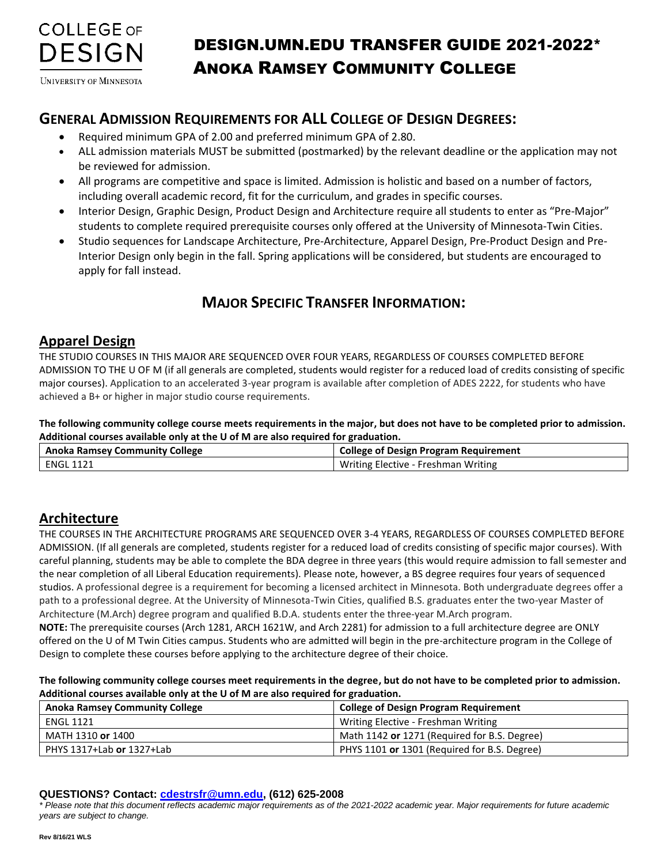

**UNIVERSITY OF MINNESOTA** 

## DESIGN.UMN.EDU **GENERAL ADMISSION REQUIREMENTS FOR ALL COLLEGE OF DESIGN DEGREES:**

- Required minimum GPA of 2.00 and preferred minimum GPA of 2.80.
- ALL admission materials MUST be submitted (postmarked) by the relevant deadline or the application may not be reviewed for admission.
- All programs are competitive and space is limited. Admission is holistic and based on a number of factors, including overall academic record, fit for the curriculum, and grades in specific courses.
- Interior Design, Graphic Design, Product Design and Architecture require all students to enter as "Pre-Major" students to complete required prerequisite courses only offered at the University of Minnesota-Twin Cities.
- Studio sequences for Landscape Architecture, Pre-Architecture, Apparel Design, Pre-Product Design and Pre-Interior Design only begin in the fall. Spring applications will be considered, but students are encouraged to apply for fall instead.

## **MAJOR SPECIFIC TRANSFER INFORMATION:**

### **Apparel Design**

THE STUDIO COURSES IN THIS MAJOR ARE SEQUENCED OVER FOUR YEARS, REGARDLESS OF COURSES COMPLETED BEFORE ADMISSION TO THE U OF M (if all generals are completed, students would register for a reduced load of credits consisting of specific major courses). Application to an accelerated 3-year program is available after completion of ADES 2222, for students who have achieved a B+ or higher in major studio course requirements.

**The following community college course meets requirements in the major, but does not have to be completed prior to admission. Additional courses available only at the U of M are also required for graduation.**

| <b>Anoka Ramsey Community College</b> | <b>College of Design Program Requirement</b> |
|---------------------------------------|----------------------------------------------|
| ' ENGL 1121                           | Writing Elective - Freshman Writing          |

### **Architecture**

THE COURSES IN THE ARCHITECTURE PROGRAMS ARE SEQUENCED OVER 3-4 YEARS, REGARDLESS OF COURSES COMPLETED BEFORE ADMISSION. (If all generals are completed, students register for a reduced load of credits consisting of specific major courses). With careful planning, students may be able to complete the BDA degree in three years (this would require admission to fall semester and the near completion of all Liberal Education requirements). Please note, however, a BS degree requires four years of sequenced studios. A professional degree is a requirement for becoming a licensed architect in Minnesota. Both undergraduate degrees offer a path to a professional degree. At the University of Minnesota-Twin Cities, qualified B.S. graduates enter the two-year Master of Architecture (M.Arch) degree program and qualified B.D.A. students enter the three-year M.Arch program.

**NOTE:** The prerequisite courses (Arch 1281, ARCH 1621W, and Arch 2281) for admission to a full architecture degree are ONLY offered on the U of M Twin Cities campus. Students who are admitted will begin in the pre-architecture program in the College of Design to complete these courses before applying to the architecture degree of their choice.

**The following community college courses meet requirements in the degree, but do not have to be completed prior to admission. Additional courses available only at the U of M are also required for graduation.**

| <b>Anoka Ramsey Community College</b> | <b>College of Design Program Requirement</b> |
|---------------------------------------|----------------------------------------------|
| ENGL 1121                             | Writing Elective - Freshman Writing          |
| MATH 1310 <b>or</b> 1400              | Math 1142 or 1271 (Required for B.S. Degree) |
| PHYS 1317+Lab or 1327+Lab             | PHYS 1101 or 1301 (Required for B.S. Degree) |

#### **QUESTIONS? Contact: [cdestrsfr@umn.edu,](mailto:cdestrsfr@umn.edu) (612) 625-2008**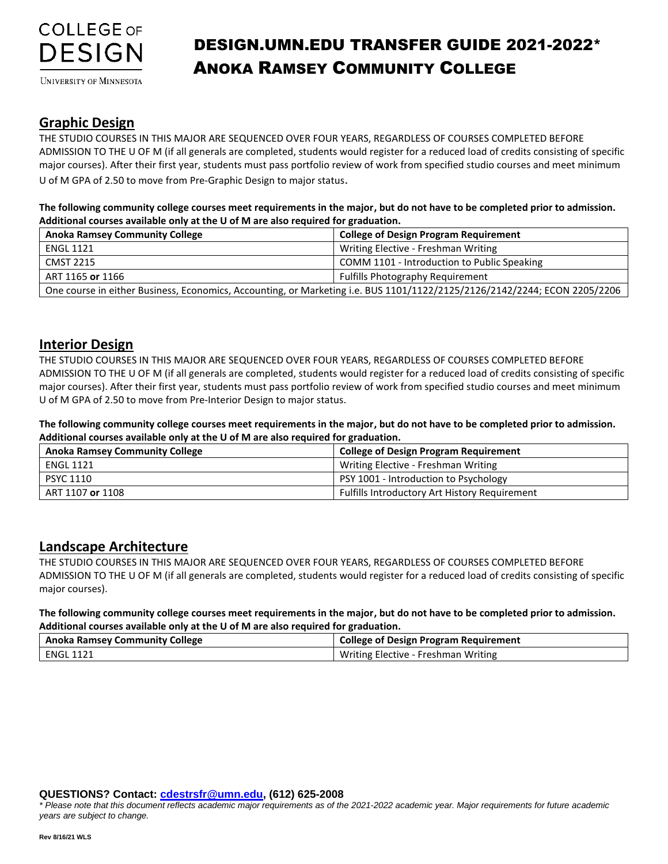

**UNIVERSITY OF MINNESOTA** 

#### **Graphic Design**

THE STUDIO COURSES IN THIS MAJOR ARE SEQUENCED OVER FOUR YEARS, REGARDLESS OF COURSES COMPLETED BEFORE ADMISSION TO THE U OF M (if all generals are completed, students would register for a reduced load of credits consisting of specific major courses). After their first year, students must pass portfolio review of work from specified studio courses and meet minimum U of M GPA of 2.50 to move from Pre-Graphic Design to major status.

**The following community college courses meet requirements in the major, but do not have to be completed prior to admission. Additional courses available only at the U of M are also required for graduation.**

| <b>Anoka Ramsey Community College</b>                                                                                     | <b>College of Design Program Requirement</b> |
|---------------------------------------------------------------------------------------------------------------------------|----------------------------------------------|
| ENGL 1121                                                                                                                 | Writing Elective - Freshman Writing          |
| <b>CMST 2215</b>                                                                                                          | COMM 1101 - Introduction to Public Speaking  |
| ART 1165 or 1166                                                                                                          | <b>Fulfills Photography Requirement</b>      |
| One course in either Business, Economics, Accounting, or Marketing i.e. BUS 1101/1122/2125/2126/2142/2244; ECON 2205/2206 |                                              |

#### **Interior Design**

THE STUDIO COURSES IN THIS MAJOR ARE SEQUENCED OVER FOUR YEARS, REGARDLESS OF COURSES COMPLETED BEFORE ADMISSION TO THE U OF M (if all generals are completed, students would register for a reduced load of credits consisting of specific major courses). After their first year, students must pass portfolio review of work from specified studio courses and meet minimum U of M GPA of 2.50 to move from Pre-Interior Design to major status.

**The following community college courses meet requirements in the major, but do not have to be completed prior to admission. Additional courses available only at the U of M are also required for graduation.**

| <b>Anoka Ramsey Community College</b> | <b>College of Design Program Requirement</b>         |
|---------------------------------------|------------------------------------------------------|
| ENGL 1121                             | Writing Elective - Freshman Writing                  |
| <b>PSYC 1110</b>                      | PSY 1001 - Introduction to Psychology                |
| ART 1107 or 1108                      | <b>Fulfills Introductory Art History Requirement</b> |

#### **Landscape Architecture**

THE STUDIO COURSES IN THIS MAJOR ARE SEQUENCED OVER FOUR YEARS, REGARDLESS OF COURSES COMPLETED BEFORE ADMISSION TO THE U OF M (if all generals are completed, students would register for a reduced load of credits consisting of specific major courses).

**The following community college courses meet requirements in the major, but do not have to be completed prior to admission. Additional courses available only at the U of M are also required for graduation.**

| <b>Anoka Ramsey Community College</b> | College of Design Program Requirement |
|---------------------------------------|---------------------------------------|
| ENGL 1121                             | Writing Elective - Freshman Writing   |

**QUESTIONS? Contact: [cdestrsfr@umn.edu,](mailto:cdestrsfr@umn.edu) (612) 625-2008**